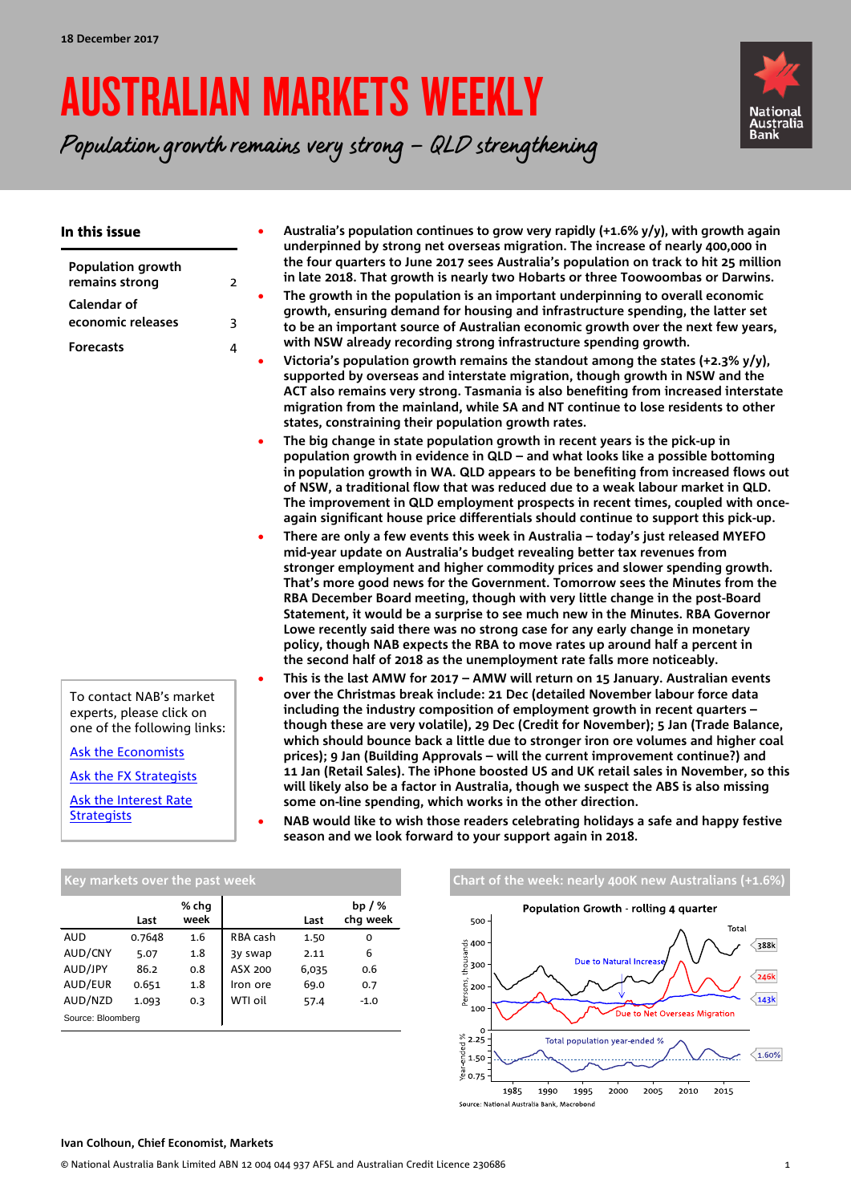# AUSTRALIAN MARKETS WEEKLY

Population growth remains very strong – QLD strengthening



| In this issue                                                                                                                                                                            |                | Australia's population continues to grow very rapidly (+1.6% y/y), with growth again<br>underpinned by strong net overseas migration. The increase of nearly 400,000 in                                                                                                                                                                                                                                                                                                                                                                                                                                                                                                                                                                                                                                                                                                                                               |
|------------------------------------------------------------------------------------------------------------------------------------------------------------------------------------------|----------------|-----------------------------------------------------------------------------------------------------------------------------------------------------------------------------------------------------------------------------------------------------------------------------------------------------------------------------------------------------------------------------------------------------------------------------------------------------------------------------------------------------------------------------------------------------------------------------------------------------------------------------------------------------------------------------------------------------------------------------------------------------------------------------------------------------------------------------------------------------------------------------------------------------------------------|
| <b>Population growth</b><br>remains strong                                                                                                                                               | $\overline{2}$ | the four quarters to June 2017 sees Australia's population on track to hit 25 million<br>in late 2018. That growth is nearly two Hobarts or three Toowoombas or Darwins.                                                                                                                                                                                                                                                                                                                                                                                                                                                                                                                                                                                                                                                                                                                                              |
| Calendar of<br>economic releases                                                                                                                                                         | 3              | The growth in the population is an important underpinning to overall economic<br>growth, ensuring demand for housing and infrastructure spending, the latter set<br>to be an important source of Australian economic growth over the next few years,                                                                                                                                                                                                                                                                                                                                                                                                                                                                                                                                                                                                                                                                  |
| <b>Forecasts</b>                                                                                                                                                                         | 4              | with NSW already recording strong infrastructure spending growth.<br>Victoria's population growth remains the standout among the states (+2.3% y/y),<br>supported by overseas and interstate migration, though growth in NSW and the<br>ACT also remains very strong. Tasmania is also benefiting from increased interstate<br>migration from the mainland, while SA and NT continue to lose residents to other<br>states, constraining their population growth rates.                                                                                                                                                                                                                                                                                                                                                                                                                                                |
|                                                                                                                                                                                          |                | The big change in state population growth in recent years is the pick-up in<br>population growth in evidence in QLD - and what looks like a possible bottoming<br>in population growth in WA. QLD appears to be benefiting from increased flows out<br>of NSW, a traditional flow that was reduced due to a weak labour market in QLD.<br>The improvement in QLD employment prospects in recent times, coupled with once-<br>again significant house price differentials should continue to support this pick-up.                                                                                                                                                                                                                                                                                                                                                                                                     |
|                                                                                                                                                                                          | $\bullet$      | There are only a few events this week in Australia - today's just released MYEFO<br>mid-year update on Australia's budget revealing better tax revenues from<br>stronger employment and higher commodity prices and slower spending growth.<br>That's more good news for the Government. Tomorrow sees the Minutes from the<br>RBA December Board meeting, though with very little change in the post-Board<br>Statement, it would be a surprise to see much new in the Minutes. RBA Governor<br>Lowe recently said there was no strong case for any early change in monetary<br>policy, though NAB expects the RBA to move rates up around half a percent in<br>the second half of 2018 as the unemployment rate falls more noticeably.                                                                                                                                                                              |
| To contact NAB's market<br>experts, please click on<br>one of the following links:<br>Ask the Economists<br><b>Ask the FX Strategists</b><br>Ask the Interest Rate<br><b>Strategists</b> | $\bullet$      | This is the last AMW for 2017 - AMW will return on 15 January. Australian events<br>over the Christmas break include: 21 Dec (detailed November labour force data<br>including the industry composition of employment growth in recent quarters -<br>though these are very volatile), 29 Dec (Credit for November); 5 Jan (Trade Balance,<br>which should bounce back a little due to stronger iron ore volumes and higher coal<br>prices); 9 Jan (Building Approvals - will the current improvement continue?) and<br>11 Jan (Retail Sales). The iPhone boosted US and UK retail sales in November, so this<br>will likely also be a factor in Australia, though we suspect the ABS is also missing<br>some on-line spending, which works in the other direction.<br>NAB would like to wish those readers celebrating holidays a safe and happy festive<br>season and we look forward to your support again in 2018. |

|                   | Last   | % chq<br>week |          | Last  | bp $/$ %<br>chq week |
|-------------------|--------|---------------|----------|-------|----------------------|
| <b>AUD</b>        | 0.7648 | 1.6           | RBA cash | 1.50  | 0                    |
| AUD/CNY           | 5.07   | 1.8           | 3y swap  | 2.11  | 6                    |
| AUD/JPY           | 86.2   | 0.8           | ASX 200  | 6,035 | 0.6                  |
| AUD/EUR           | 0.651  | 1.8           | Iron ore | 69.0  | 0.7                  |
| AUD/NZD           | 1.093  | 0.3           | WTI oil  | 57.4  | $-1.0$               |
| Source: Bloomberg |        |               |          |       |                      |





#### **Ivan Colhoun, Chief Economist, Markets**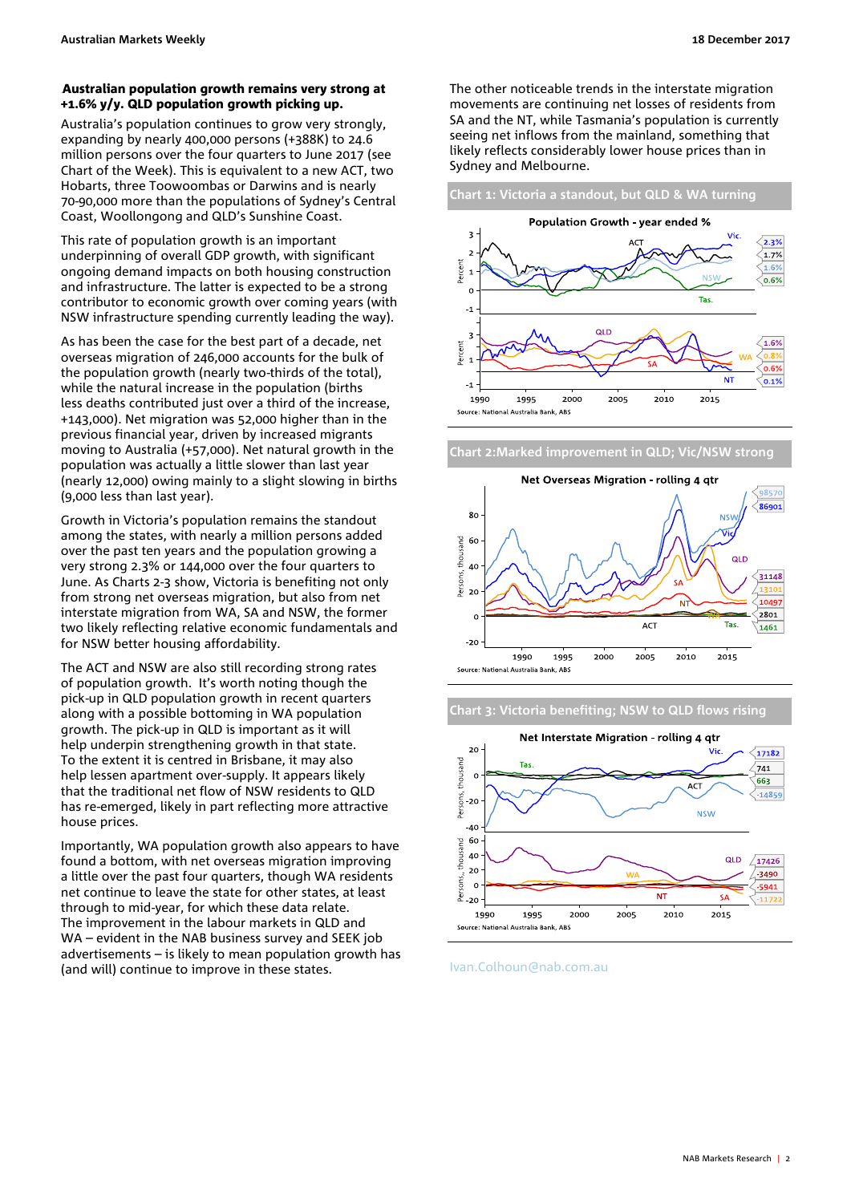#### <span id="page-1-0"></span>Australian population growth remains very strong at +1.6% y/y. QLD population growth picking up.

Australia's population continues to grow very strongly, expanding by nearly 400,000 persons (+388K) to 24.6 million persons over the four quarters to June 2017 (see Chart of the Week). This is equivalent to a new ACT, two Hobarts, three Toowoombas or Darwins and is nearly 70-90,000 more than the populations of Sydney's Central Coast, Woollongong and QLD's Sunshine Coast.

This rate of population growth is an important underpinning of overall GDP growth, with significant ongoing demand impacts on both housing construction and infrastructure. The latter is expected to be a strong contributor to economic growth over coming years (with NSW infrastructure spending currently leading the way).

As has been the case for the best part of a decade, net overseas migration of 246,000 accounts for the bulk of the population growth (nearly two-thirds of the total), while the natural increase in the population (births less deaths contributed just over a third of the increase, +143,000). Net migration was 52,000 higher than in the previous financial year, driven by increased migrants moving to Australia (+57,000). Net natural growth in the population was actually a little slower than last year (nearly 12,000) owing mainly to a slight slowing in births (9,000 less than last year).

Growth in Victoria's population remains the standout among the states, with nearly a million persons added over the past ten years and the population growing a very strong 2.3% or 144,000 over the four quarters to June. As Charts 2-3 show, Victoria is benefiting not only from strong net overseas migration, but also from net interstate migration from WA, SA and NSW, the former two likely reflecting relative economic fundamentals and for NSW better housing affordability.

The ACT and NSW are also still recording strong rates of population growth. It's worth noting though the pick-up in QLD population growth in recent quarters along with a possible bottoming in WA population growth. The pick-up in QLD is important as it will help underpin strengthening growth in that state. To the extent it is centred in Brisbane, it may also help lessen apartment over-supply. It appears likely that the traditional net flow of NSW residents to QLD has re-emerged, likely in part reflecting more attractive house prices.

Importantly, WA population growth also appears to have found a bottom, with net overseas migration improving a little over the past four quarters, though WA residents net continue to leave the state for other states, at least through to mid-year, for which these data relate. The improvement in the labour markets in QLD and WA – evident in the NAB business survey and SEEK job advertisements – is likely to mean population growth has (and will) continue to improve in these states.

The other noticeable trends in the interstate migration movements are continuing net losses of residents from SA and the NT, while Tasmania's population is currently seeing net inflows from the mainland, something that likely reflects considerably lower house prices than in Sydney and Melbourne.

**Chart 1: Victoria a standout, but QLD & WA turning**



**Chart 2:Marked improvement in QLD; Vic/NSW strong**



**Chart 3: Victoria benefiting; NSW to QLD flows rising**



[Ivan.Colhoun@nab.com.au](mailto:Ivan.Colhoun@nab.com.au)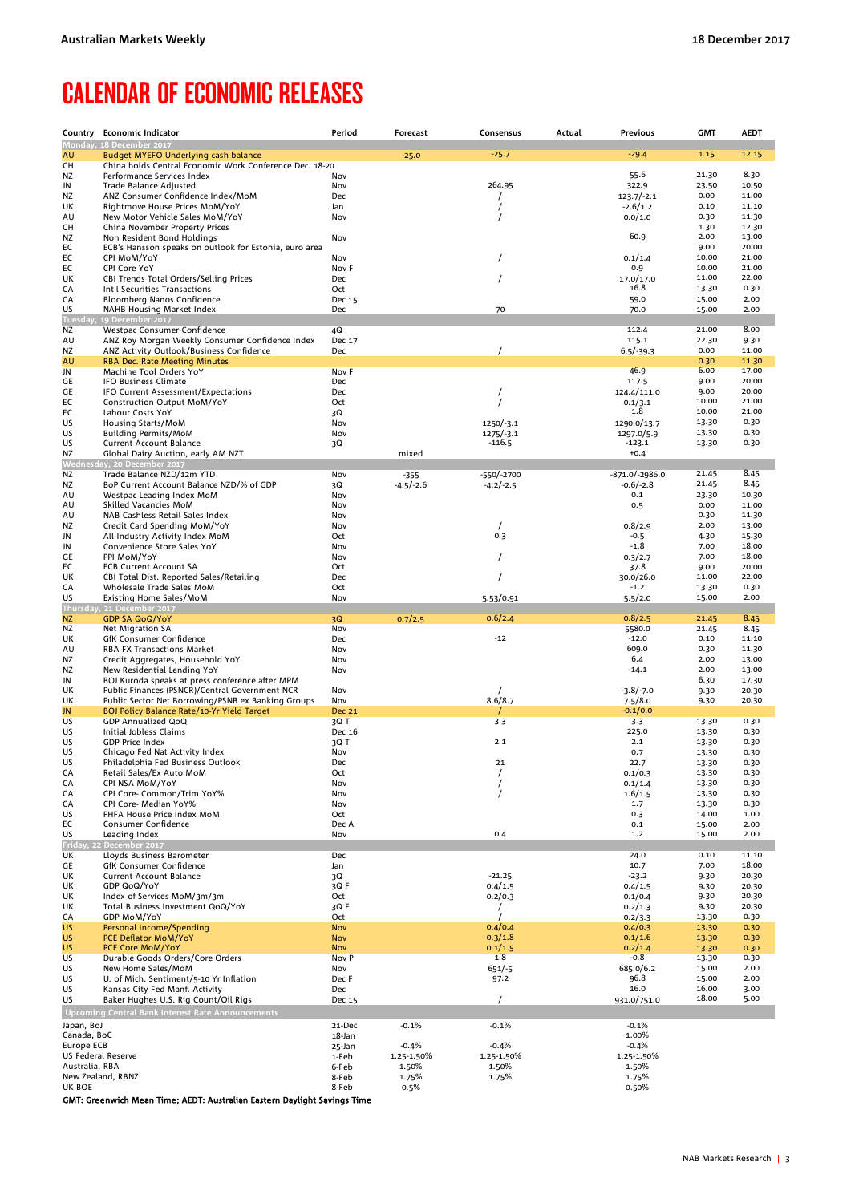### <span id="page-2-0"></span>**CALENDAR OF ECONOMIC RELEASES**

|                                  | Country Economic Indicator                                                           | Period                   | Forecast              | Consensus             | Actual | Previous                   | <b>GMT</b>     | <b>AEDT</b>    |
|----------------------------------|--------------------------------------------------------------------------------------|--------------------------|-----------------------|-----------------------|--------|----------------------------|----------------|----------------|
| AU                               | Monday, 18 December 2017<br>Budget MYEFO Underlying cash balance                     |                          |                       | $-25.7$               |        | $-29.4$                    | 1.15           | 12.15          |
| CН                               | China holds Central Economic Work Conference Dec. 18-20                              |                          | $-25.0$               |                       |        |                            |                |                |
| ΝZ                               | Performance Services Index                                                           | Nov                      |                       |                       |        | 55.6                       | 21.30          | 8.30           |
| JN                               | Trade Balance Adjusted                                                               | Nov                      |                       | 264.95                |        | 322.9                      | 23.50<br>0.00  | 10.50<br>11.00 |
| ΝZ<br>UK                         | ANZ Consumer Confidence Index/MoM<br>Rightmove House Prices MoM/YoY                  | <b>Dec</b><br>Jan        |                       | 7                     |        | $123.7/-2.1$<br>$-2.6/1.2$ | 0.10           | 11.10          |
| AU                               | New Motor Vehicle Sales MoM/YoY                                                      | Nov                      |                       |                       |        | 0.0/1.0                    | 0.30           | 11.30          |
| CН                               | China November Property Prices                                                       |                          |                       |                       |        |                            | 1.30           | 12.30          |
| ΝZ<br>EС                         | Non Resident Bond Holdings<br>ECB's Hansson speaks on outlook for Estonia, euro area | Nov                      |                       |                       |        | 60.9                       | 2.00<br>9.00   | 13.00<br>20.00 |
| EС                               | CPI MoM/YoY                                                                          | Nov                      |                       |                       |        | 0.1/1.4                    | 10.00          | 21.00          |
| EС                               | CPI Core YoY                                                                         | Nov F                    |                       |                       |        | 0.9                        | 10.00          | 21.00          |
| UK<br>СA                         | CBI Trends Total Orders/Selling Prices<br>Int'l Securities Transactions              | Dec<br>Oct               |                       |                       |        | 17.0/17.0<br>16.8          | 11.00<br>13.30 | 22.00<br>0.30  |
| СA                               | Bloomberg Nanos Confidence                                                           | Dec 15                   |                       |                       |        | 59.0                       | 15.00          | 2.00           |
| US                               | NAHB Housing Market Index                                                            | Dec                      |                       | 70                    |        | 70.0                       | 15.00          | 2.00           |
| Tuesday<br>ΝZ                    | 19 December 2017<br>Westpac Consumer Confidence                                      | 4Q                       |                       |                       |        | 112.4                      | 21.00          | 8.00           |
| AU                               | ANZ Roy Morgan Weekly Consumer Confidence Index                                      | Dec 17                   |                       |                       |        | 115.1                      | 22.30          | 9.30           |
| ΝZ                               | ANZ Activity Outlook/Business Confidence                                             | Dec                      |                       |                       |        | $6.5/-39.3$                | 0.00           | 11.00          |
| AU<br>JN                         | <b>RBA Dec. Rate Meeting Minutes</b><br>Machine Tool Orders YoY                      | Nov F                    |                       |                       |        | 46.9                       | 0.30<br>6.00   | 11.30<br>17.00 |
| GE                               | <b>IFO Business Climate</b>                                                          | Dec                      |                       |                       |        | 117.5                      | 9.00           | 20.00          |
| GE                               | IFO Current Assessment/Expectations                                                  | Dec                      |                       |                       |        | 124.4/111.0                | 9.00           | 20.00          |
| EС<br>EС                         | Construction Output MoM/YoY<br>Labour Costs YoY                                      | Oct<br>3Q                |                       |                       |        | 0.1/3.1<br>1.8             | 10.00<br>10.00 | 21.00<br>21.00 |
| US                               | Housing Starts/MoM                                                                   | Nov                      |                       | 1250/-3.1             |        | 1290.0/13.7                | 13.30          | 0.30           |
| US                               | <b>Building Permits/MoM</b>                                                          | Nov                      |                       | $1275/-3.1$           |        | 1297.0/5.9                 | 13.30          | 0.30           |
| US                               | <b>Current Account Balance</b>                                                       | 3Q                       |                       | -116.5                |        | -123.1                     | 13.30          | 0.30           |
| ΝZ                               | Global Dairy Auction, early AM NZT<br>Wednesday, 20 December 2017                    |                          | mixed                 |                       |        | $+0.4$                     |                |                |
| ΝZ                               | Trade Balance NZD/12m YTD                                                            | Nov                      | $-355$                | -550/-2700            |        | $-871.0/-2986.0$           | 21.45          | 8.45           |
| NZ                               | BoP Current Account Balance NZD/% of GDP                                             | 3Q                       | $-4.5/-2.6$           | $-4.2/-2.5$           |        | $-0.6/-2.8$                | 21.45          | 8.45           |
| AU<br>AU                         | Westpac Leading Index MoM<br>Skilled Vacancies MoM                                   | Nov<br>Nov               |                       |                       |        | 0.1<br>0.5                 | 23.30<br>0.00  | 10.30<br>11.00 |
| AU                               | NAB Cashless Retail Sales Index                                                      | Nov                      |                       |                       |        |                            | 0.30           | 11.30          |
| ΝZ                               | Credit Card Spending MoM/YoY                                                         | Nov                      |                       |                       |        | 0.8/2.9                    | 2.00           | 13.00          |
| JN<br>JN                         | All Industry Activity Index MoM<br>Convenience Store Sales YoY                       | Oct<br>Nov               |                       | 0.3                   |        | $-0.5$<br>$-1.8$           | 4.30<br>7.00   | 15.30<br>18.00 |
| GЕ                               | PPI MoM/YoY                                                                          | Nov                      |                       |                       |        | 0.3/2.7                    | 7.00           | 18.00          |
| EС                               | <b>ECB Current Account SA</b>                                                        | Oct                      |                       |                       |        | 37.8                       | 9.00           | 20.00          |
| UK                               | CBI Total Dist. Reported Sales/Retailing                                             | Dec                      |                       |                       |        | 30.0/26.0                  | 11.00          | 22.00          |
| СA<br>US                         | Wholesale Trade Sales MoM<br>Existing Home Sales/MoM                                 | Oct<br>Nov               |                       | 5.53/0.91             |        | $-1.2$<br>5.5/2.0          | 13.30<br>15.00 | 0.30<br>2.00   |
|                                  | Thursday, 21 December 2017                                                           |                          |                       |                       |        |                            |                |                |
| NZ                               | <b>GDP SA QoQ/YoY</b>                                                                | 3Q                       | 0.7/2.5               | 0.6/2.4               |        | 0.8/2.5                    | 21.45          | 8.45           |
| ΝZ<br>UK                         | Net Migration SA<br>GfK Consumer Confidence                                          | Nov<br>Dec               |                       | $-12$                 |        | 5580.0<br>$-12.0$          | 21.45<br>0.10  | 8.45<br>11.10  |
| AU                               | RBA FX Transactions Market                                                           | Nov                      |                       |                       |        | 609.0                      | 0.30           | 11.30          |
| ΝZ                               | Credit Aggregates, Household YoY                                                     | Nov                      |                       |                       |        | 6.4                        | 2.00           | 13.00          |
| ΝZ<br>JN                         | New Residential Lending YoY<br>BOJ Kuroda speaks at press conference after MPM       | Nov                      |                       |                       |        | $-14.1$                    | 2.00<br>6.30   | 13.00<br>17.30 |
| UK                               | Public Finances (PSNCR)/Central Government NCR                                       | Nov                      |                       |                       |        | $-3.8/-7.0$                | 9.30           | 20.30          |
| UK                               | Public Sector Net Borrowing/PSNB ex Banking Groups                                   | Nov                      |                       | 8.6/8.7               |        | 7.5/8.0                    | 9.30           | 20.30          |
| JN<br>US                         | <b>BOJ Policy Balance Rate/10-Yr Yield Target</b><br><b>GDP Annualized QoQ</b>       | <b>Dec 21</b><br>3Q T    |                       | 3.3                   |        | $-0.1/0.0$<br>3.3          | 13.30          | 0.30           |
| US                               | Initial Jobless Claims                                                               | Dec 16                   |                       |                       |        | 225.0                      | 13.30          | 0.30           |
| US                               | <b>GDP Price Index</b>                                                               | 3Q T                     |                       | 2.1                   |        | 2.1                        | 13.30          | 0.30           |
| US<br>US                         | Chicago Fed Nat Activity Index                                                       | Nov                      |                       | 21                    |        | 0.7<br>22.7                | 13.30          | 0.30<br>0.30   |
| СA                               | Philadelphia Fed Business Outlook<br>Retail Sales/Ex Auto MoM                        | Dec<br>Oct               |                       | 7                     |        | 0.1/0.3                    | 13.30<br>13.30 | 0.30           |
| СA                               | CPI NSA MoM/YoY                                                                      | Nov                      |                       | 7                     |        | 0.1/1.4                    | 13.30          | 0.30           |
| СA                               | CPI Core- Common/Trim YoY%                                                           | Nov                      |                       | $\prime$              |        | 1.6/1.5<br>1.7             | 13.30<br>13.30 | 0.30<br>0.30   |
| СA<br>US                         | CPI Core- Median YoY%<br>FHFA House Price Index MoM                                  | Nov<br>Oct               |                       |                       |        | 0.3                        | 14.00          | 1.00           |
| EС                               | Consumer Confidence                                                                  | Dec A                    |                       |                       |        | 0.1                        | 15.00          | 2.00           |
| US                               | Leading Index                                                                        | Nov                      |                       | 0.4                   |        | 1.2                        | 15.00          | 2.00           |
| UK                               | Friday, 22 December 2017<br>Lloyds Business Barometer                                | Dec                      |                       |                       |        | 24.0                       | 0.10           | 11.10          |
| GE                               | GfK Consumer Confidence                                                              | Jan                      |                       |                       |        | 10.7                       | 7.00           | 18.00          |
| UK                               | <b>Current Account Balance</b>                                                       | 3Q                       |                       | $-21.25$              |        | $-23.2$                    | 9.30           | 20.30          |
| UK<br>UK                         | GDP QoQ/YoY<br>Index of Services MoM/3m/3m                                           | 3Q F<br>Oct              |                       | 0.4/1.5<br>0.2/0.3    |        | 0.4/1.5<br>0.1/0.4         | 9.30<br>9.30   | 20.30<br>20.30 |
| UK                               | Total Business Investment QoQ/YoY                                                    | 3Q F                     |                       |                       |        | 0.2/1.3                    | 9.30           | 20.30          |
| СA                               | <b>GDP MoM/YoY</b>                                                                   | Oct                      |                       |                       |        | 0.2/3.3                    | 13.30          | 0.30           |
| US<br>US                         | Personal Income/Spending<br>PCE Deflator MoM/YoY                                     | <b>Nov</b><br><b>Nov</b> |                       | 0.4/0.4<br>0.3/1.8    |        | 0.4/0.3<br>0.1/1.6         | 13.30          | 0.30<br>0.30   |
| US                               | <b>PCE Core MoM/YoY</b>                                                              | <b>Nov</b>               |                       | 0.1/1.5               |        | 0.2/1.4                    | 13.30<br>13.30 | 0.30           |
| US                               | Durable Goods Orders/Core Orders                                                     | Nov P                    |                       | 1.8                   |        | $-0.8$                     | 13.30          | 0.30           |
| US<br>US                         | New Home Sales/MoM<br>U. of Mich. Sentiment/5-10 Yr Inflation                        | Nov<br>Dec F             |                       | $651/-5$<br>97.2      |        | 685.0/6.2<br>96.8          | 15.00<br>15.00 | 2.00<br>2.00   |
| US                               | Kansas City Fed Manf. Activity                                                       | Dec                      |                       |                       |        | 16.0                       | 16.00          | 3.00           |
| US                               | Baker Hughes U.S. Rig Count/Oil Rigs                                                 | Dec 15                   |                       | $\prime$              |        | 931.0/751.0                | 18.00          | 5.00           |
|                                  | Upcoming Central Bank Interest Rate Announcements                                    |                          |                       |                       |        |                            |                |                |
| Japan, BoJ                       |                                                                                      | 21-Dec                   | $-0.1%$               | $-0.1%$               |        | $-0.1%$                    |                |                |
| Canada, BoC                      |                                                                                      | 18-Jan                   |                       |                       |        | 1.00%                      |                |                |
| Europe ECB<br>US Federal Reserve |                                                                                      | 25-Jan<br>1-Feb          | $-0.4%$<br>1.25-1.50% | $-0.4%$<br>1.25-1.50% |        | $-0.4%$<br>1.25-1.50%      |                |                |
| Australia, RBA                   |                                                                                      | 6-Feb                    | 1.50%                 | 1.50%                 |        | 1.50%                      |                |                |
| New Zealand, RBNZ<br>UK BOE      |                                                                                      | 8-Feb                    | 1.75%<br>0.5%         | 1.75%                 |        | 1.75%<br>0.50%             |                |                |
|                                  |                                                                                      | 8-Feb                    |                       |                       |        |                            |                |                |

GMT: Greenwich Mean Time; AEDT: Australian Eastern Daylight Savings Time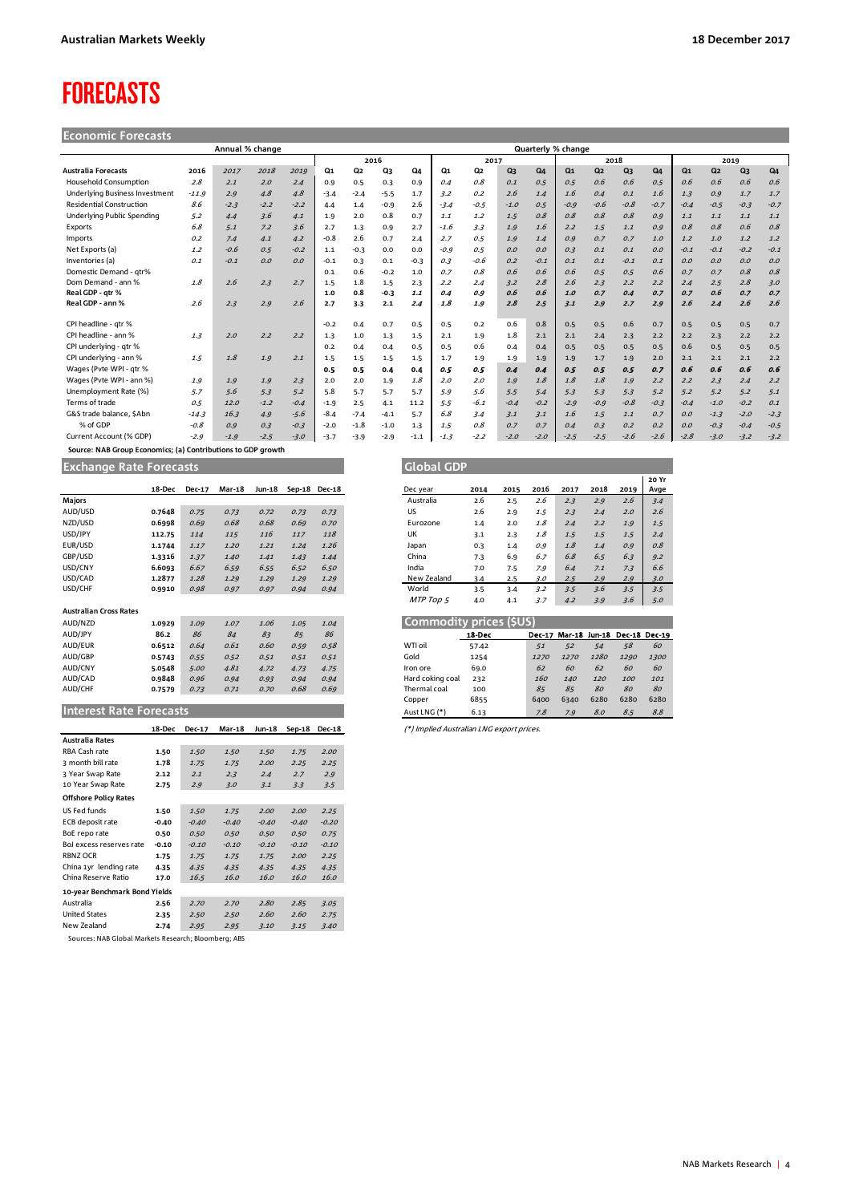## <span id="page-3-0"></span>**FORECASTS**

#### **Economic Forecasts**

| Annual % change                       |         |        |        |        |                |                |                      |        | Quarterly % change |                |                |                |                |                |                |        |                |                |                |        |
|---------------------------------------|---------|--------|--------|--------|----------------|----------------|----------------------|--------|--------------------|----------------|----------------|----------------|----------------|----------------|----------------|--------|----------------|----------------|----------------|--------|
|                                       |         |        |        |        |                |                | 2016<br>2018<br>2017 |        |                    |                | 2019           |                |                |                |                |        |                |                |                |        |
| <b>Australia Forecasts</b>            | 2016    | 2017   | 2018   | 2019   | Q <sub>1</sub> | Q <sub>2</sub> | Q3                   | Q4     | $Q_1$              | Q <sub>2</sub> | Q <sub>3</sub> | Q <sub>4</sub> | Q <sub>1</sub> | Q <sub>2</sub> | Q <sub>3</sub> | $Q_4$  | Q <sub>1</sub> | Q <sub>2</sub> | Q <sub>3</sub> | $Q_4$  |
| <b>Household Consumption</b>          | 2.8     | 2.1    | 2.0    | 2.4    | 0.9            | 0.5            | 0.3                  | 0.9    | 0.4                | 0.8            | 0.1            | 0.5            | 0.5            | 0.6            | 0.6            | 0.5    | 0.6            | 0.6            | 0.6            | 0.6    |
| <b>Underlying Business Investment</b> | $-11.9$ | 2.9    | 4.8    | 4.8    | $-3.4$         | $-2.4$         | $-5.5$               | 1.7    | 3.2                | 0.2            | 2.6            | 1.4            | 1.6            | 0.4            | 0.1            | 1.6    | 1.3            | 0.9            | 1.7            | 1.7    |
| <b>Residential Construction</b>       | 8.6     | $-2.3$ | $-2.2$ | $-2.2$ | 4.4            | 1.4            | $-0.9$               | 2.6    | $-3.4$             | $-0.5$         | $-1.0$         | 0.5            | $-0.9$         | $-0.6$         | $-0.8$         | $-0.7$ | $-0.4$         | $-0.5$         | $-0.3$         | $-0.7$ |
| Underlying Public Spending            | 5.2     | 4.4    | 3.6    | 4.1    | 1.9            | 2.0            | 0.8                  | 0.7    | 1.1                | 1.2            | 1.5            | 0.8            | O.8            | 0.8            | 0.8            | O.9    | 1.1            | 1.1            | 1.1            | 1.1    |
| Exports                               | 6.8     | 5.1    | 7.2    | 3.6    | 2.7            | 1.3            | 0.9                  | 2.7    | $-1.6$             | 3.3            | 1.9            | 1.6            | 2.2            | 1.5            | 1.1            | O.9    | 0.8            | 0.8            | 0.6            | 0.8    |
| Imports                               | 0.2     | 7.4    | 4.1    | 4.2    | $-0.8$         | 2.6            | 0.7                  | 2.4    | 2.7                | 0.5            | 1.9            | 1.4            | 0.9            | 0.7            | 0.7            | 1.0    | 1.2            | 1.0            | 1.2            | 1.2    |
| Net Exports (a)                       | 1.2     | $-0.6$ | 0.5    | $-0.2$ | 1.1            | $-0.3$         | 0.0                  | 0.0    | $-0.9$             | 0.5            | O.O            | 0.0            | O.3            | 0.1            | 0.1            | 0.0    | $-0.1$         | $-0.1$         | $-0.2$         | $-0.1$ |
| Inventories (a)                       | 0.1     | $-0.1$ | O.O    | O.O    | $-0.1$         | 0.3            | 0.1                  | $-0.3$ | 0.3                | $-0.6$         | 0.2            | $-0.1$         | 0.1            | 0.1            | $-0.1$         | 0.1    | O.O            | 0.0            | 0.0            | 0.0    |
| Domestic Demand - qtr%                |         |        |        |        | 0.1            | 0.6            | $-0.2$               | 1.0    | 0.7                | 0.8            | 0.6            | 0.6            | 0.6            | 0.5            | 0.5            | 0.6    | 0.7            | 0.7            | O.8            | 0.8    |
| Dom Demand - ann %                    | 1.8     | 2.6    | 2.3    | 2.7    | 1.5            | 1.8            | 1.5                  | 2.3    | 2.2                | 2.4            | 3.2            | 2.8            | 2.6            | 2.3            | 2.2            | 2.2    | 2.4            | 2.5            | 2.8            | 3.0    |
| Real GDP - atr %                      |         |        |        |        | 1.0            | 0.8            | $-0.3$               | 1.1    | 0.4                | 0.9            | 0.6            | 0.6            | 1.0            | 0.7            | 0.4            | 0.7    | 0.7            | 0.6            | 0.7            | 0.7    |
| Real GDP - ann %                      | 2.6     | 2.3    | 2.9    | 2.6    | 2.7            | 3.3            | 2.1                  | 2.4    | 1.8                | 1.9            | 2.8            | 2.5            | 3.1            | 2.9            | 2.7            | 2.9    | 2.6            | 2.4            | 2.6            | 2.6    |
|                                       |         |        |        |        |                |                |                      |        |                    |                |                |                |                |                |                |        |                |                |                |        |
| CPI headline - atr %                  |         |        |        |        | $-0.2$         | 0.4            | 0.7                  | 0.5    | 0.5                | 0.2            | 0.6            | 0.8            | 0.5            | 0.5            | 0.6            | 0.7    | 0.5            | 0.5            | 0.5            | 0.7    |
| CPI headline - ann %                  | 1.3     | 2.0    | 2.2    | 2.2    | 1.3            | 1.0            | 1.3                  | 1.5    | 2.1                | 1.9            | 1.8            | 2.1            | 2.1            | 2.4            | 2.3            | 2.2    | 2.2            | 2.3            | 2.2            | 2.2    |
| CPI underlying - gtr %                |         |        |        |        | 0.2            | 0.4            | 0.4                  | 0.5    | 0.5                | 0.6            | 0.4            | 0.4            | 0.5            | 0.5            | 0.5            | 0.5    | 0.6            | 0.5            | 0.5            | 0.5    |
| CPI underlying - ann %                | 1.5     | 1.8    | 1.9    | 2.1    | 1.5            | 1.5            | 1.5                  | 1.5    | 1.7                | 1.9            | 1.9            | 1.9            | 1.9            | 1.7            | 1.9            | 2.0    | 2.1            | 2.1            | 2.1            | 2.2    |
| Wages (Pvte WPI - gtr %               |         |        |        |        | 0.5            | 0.5            | 0.4                  | 0.4    | 0.5                | 0.5            | 0.4            | 0.4            | 0.5            | 0.5            | 0.5            | 0.7    | 0.6            | 0.6            | 0.6            | 0.6    |
| Wages (Pvte WPI - ann %)              | 1.9     | 1.9    | 1.9    | 2.3    | 2.0            | 2.0            | 1.9                  | 1.8    | 2.0                | 2.0            | 1.9            | 1.8            | 1.8            | 1.8            | 1.9            | 2.2    | 2.2            | 2.3            | 2.4            | 2.2    |
| Unemployment Rate (%)                 | 5.7     | 5.6    | 5.3    | 5.2    | 5.8            | 5.7            | 5.7                  | 5.7    | 5.9                | 5.6            | 5.5            | 5.4            | 5.3            | 5.3            | 5.3            | 5.2    | 5.2            | 5.2            | 5.2            | 5.1    |
| Terms of trade                        | 0.5     | 12.0   | $-1.2$ | $-0.4$ | $-1.9$         | 2.5            | 4.1                  | 11.2   | 5.5                | $-6.1$         | $-0.4$         | $-0.2$         | $-2.9$         | $-0.9$         | $-0.8$         | $-0.3$ | $-0.4$         | $-1.0$         | $-0.2$         | 0.1    |
| G&S trade balance, SAbn               | $-14.3$ | 16.3   | 4.9    | $-5.6$ | $-8.4$         | $-7.4$         | $-4.1$               | 5.7    | 6.8                | 3.4            | 3.1            | 3.1            | 1.6            | 1.5            | 1.1            | 0.7    | O.O            | $-1.3$         | $-2.0$         | $-2.3$ |
| % of GDP                              | $-0.8$  | O.G    | 0.3    | $-0.3$ | $-2.0$         | $-1.8$         | $-1.0$               | 1.3    | 1.5                | 0.8            | 0.7            | 0.7            | 0.4            | 0.3            | 0.2            | O.2    | O.O            | $-0.3$         | $-0.4$         | $-0.5$ |
| Current Account (% GDP)               | $-2.9$  | $-1.9$ | $-2.5$ | $-3.0$ | $-3.7$         | $-3.9$         | $-2.9$               | $-1.1$ | $-1.3$             | $-2.2$         | $-2.0$         | $-2.0$         | $-2.5$         | $-2.5$         | $-2.6$         | $-2.6$ | $-2.8$         | $-3.0$         | $-3.2$         | $-3.2$ |

 **Source: NAB Group Economics; (a) Contributions to GDP growth**

**Exchange Rate Forecasts Global Government Contract Government Contract Contract Contract Contract Contract Contract Contract Contract Contract Contract Contract Contract Contract Contract Contract Contract Contract Cont** 

|                                | 18-Dec | <b>Dec-17</b> | <b>Mar-18</b> | Jun-18 |      | Sep-18 Dec-18 |
|--------------------------------|--------|---------------|---------------|--------|------|---------------|
| <b>Majors</b>                  |        |               |               |        |      |               |
| AUD/USD                        | 0.7648 | 0.75          | 0.73          | 0.72   | 0.73 | 0.73          |
| NZD/USD                        | 0.6998 | 0.69          | 0.68          | 0.68   | 0.69 | 0.70          |
| USD/JPY                        | 112.75 | 114           | 115           | 116    | 117  | 118           |
| EUR/USD                        | 1.1744 | 1.17          | 1.20          | 1.21   | 1.24 | 1.26          |
| GBP/USD                        | 1.3316 | 1.37          | 1.40          | 1.41   | 1.43 | 1.44          |
| USD/CNY                        | 6.6093 | 6.67          | 6.59          | 6.55   | 6.52 | 6.50          |
| USD/CAD                        | 1.2877 | 1.28          | 1.29          | 1.29   | 1.29 | 1.29          |
| USD/CHF                        | 0.9910 | 0.98          | 0.97          | 0.97   | 0.94 | 0.94          |
|                                |        |               |               |        |      |               |
| <b>Australian Cross Rates</b>  |        |               |               |        |      |               |
| AUD/NZD                        | 1.0929 | 1.09          | 1.07          | 1.06   | 1.05 | 1.04          |
| AUD/JPY                        | 86.2   | 86            | 84            | 83     | 85   | 86            |
| AUD/EUR                        | 0.6512 | 0.64          | 0.61          | 0.60   | 0.59 | 0.58          |
| AUD/GBP                        | 0.5743 | 0.55          | 0.52          | 0.51   | 0.51 | 0.51          |
| AUD/CNY                        | 5.0548 | 5.00          | 4.81          | 4.72   | 4.73 | 4.75          |
| AUD/CAD                        | 0.9848 | 0.96          | 0.94          | 0.93   | 0.94 | 0.94          |
| AUD/CHF                        | 0.7579 | 0.73          | 0.71          | 0.70   | 0.68 | 0.69          |
|                                |        |               |               |        |      |               |
| <b>Interest Rate Forecasts</b> |        |               |               |        |      |               |

|                               | 18-Dec  | Dec-17  | <b>Mar-18</b> | Jun-18  | $Sep-18$ | <b>Dec-18</b> |
|-------------------------------|---------|---------|---------------|---------|----------|---------------|
| <b>Australia Rates</b>        |         |         |               |         |          |               |
| RBA Cash rate                 | 1.50    | 1.50    | 1.50          | 1.50    | 1.75     | 2.00          |
| 3 month bill rate             | 1.78    | 1.75    | 1.75          | 2.00    | 2.25     | 2.25          |
| 3 Year Swap Rate              | 2.12    | 2.1     | 2.3           | 2.4     | 2.7      | 2.9           |
| 10 Year Swap Rate             | 2.75    | 2.9     | 3.0           | 3.1     | 3.3      | 3.5           |
| <b>Offshore Policy Rates</b>  |         |         |               |         |          |               |
| US Fed funds                  | 1.50    | 1.50    | 1.75          | 2.00    | 2.00     | 2.25          |
| ECB deposit rate              | $-0.40$ | $-0.40$ | $-0.40$       | $-0.40$ | $-0.40$  | $-0.20$       |
| BoE repo rate                 | 0.50    | 0.50    | 0.50          | 0.50    | 0.50     | 0.75          |
| BoJ excess reserves rate      | $-0.10$ | $-0.10$ | $-0.10$       | $-0.10$ | $-0.10$  | $-0.10$       |
| <b>RBNZ OCR</b>               | 1.75    | 1.75    | 1.75          | 1.75    | 2.00     | 2.25          |
| China 1yr lending rate        | 4.35    | 4.35    | 4.35          | 4.35    | 4.35     | 4.35          |
| China Reserve Ratio           | 17.0    | 16.5    | 16.0          | 16.0    | 16.0     | 16.0          |
| 10-year Benchmark Bond Yields |         |         |               |         |          |               |
| Australia                     | 2.56    | 2.70    | 2.70          | 2.80    | 2.85     | 3.05          |
| <b>United States</b>          | 2.35    | 2.50    | 2.50          | 2.60    | 2.60     | 2.75          |
| New Zealand                   | 2.74    | 2.95    | 2.95          | 3.10    | 3.15     | 3.40          |

Sources: NAB Global Markets Research; Bloomberg; ABS

| orecasts' |               |               |        |      |               | <b>Global GDP</b> |      |      |      |      |      |      |       |
|-----------|---------------|---------------|--------|------|---------------|-------------------|------|------|------|------|------|------|-------|
|           |               |               |        |      |               |                   |      |      |      |      |      |      | 20 Yr |
| 18-Dec    | <b>Dec-17</b> | <b>Mar-18</b> | Jun-18 |      | Sep-18 Dec-18 | Dec year          | 2014 | 2015 | 2016 | 2017 | 2018 | 2019 | Avge  |
|           |               |               |        |      |               | Australia         | 2.6  | 2.5  | 2.6  | 2.3  | 2.9  | 2.6  | 3.4   |
| 0.7648    | 0.75          | 0.73          | 0.72   | 0.73 | 0.73          | US                | 2.6  | 2.9  | 1.5  | 2.3  | 2.4  | 2.0  | 2.6   |
| 0.6998    | 0.69          | 0.68          | 0.68   | 0.69 | 0.70          | Eurozone          | 1.4  | 2.0  | 1.8  | 2.4  | 2.2  | 1.9  | 1.5   |
| 112.75    | 114           | 115           | 116    | 117  | 118           | UK                | 3.1  | 2.3  | 1.8  | 1.5  | 1.5  | 1.5  | 2.4   |
| 1.1744    | 1.17          | 1.20          | 1.21   | 1.24 | 1.26          | Japan             | 0.3  | 1.4  | 0.9  | 1.8  | 1.4  | 0.9  | 0.8   |
| 1.3316    | 1.37          | 1.40          | 1.41   | 1.43 | 1.44          | China             | 7.3  | 6.9  | 6.7  | 6.8  | 6.5  | 6.3  | 9.2   |
| 6.6093    | 6.67          | 6.59          | 6.55   | 6.52 | 6.50          | India             | 7.0  | 7.5  | 7.9  | 6.4  | 7.1  | 7.3  | 6.6   |
| 1.2877    | 1.28          | 1.29          | 1.29   | 1.29 | 1.29          | New Zealand       | 3.4  | 2.5  | 3.0  | 2.5  | 2.9  | 2.9  | 3.0   |
| 0.9910    | 0.98          | 0.97          | 0.97   | 0.94 | 0.94          | World             | 3.5  | 3.4  | 3.2  | 3.5  | 3.6  | 3.5  | 3.5   |
|           |               |               |        |      |               | MTP Top 5         | 4.0  | 4.1  | 3.7  | 4.2  | 3.9  | 3.6  | 5.0   |

#### AUD/NZD **1.0929** 1.09 1.07 1.06 1.05 1.04 **Commodity prices (\$US)**

| ____________     |        |      |                                    |      |      |      |
|------------------|--------|------|------------------------------------|------|------|------|
|                  | 18-Dec |      | Dec-17 Mar-18 Jun-18 Dec-18 Dec-19 |      |      |      |
| WTI oil          | 57.42  | 51   | 52                                 | 54   | 58   | 60   |
| Gold             | 1254   | 1270 | 1270                               | 1280 | 1290 | 1300 |
| Iron ore         | 69.0   | 62   | 60                                 | 62   | 60   | 60   |
| Hard coking coal | 232    | 160  | 140                                | 120  | 100  | 101  |
| Thermal coal     | 100    | 85   | 85                                 | 80   | 80   | 80   |
| Copper           | 6855   | 6400 | 6340                               | 6280 | 6280 | 6280 |
| Aust LNG (*)     | 6.13   | 7.8  | 7.9                                | 8.0  | 8.5  | 8.8  |

**18-Dec Dec-17 Mar-18 Jun-18 Sep-18 Dec-18** (\*) Implied Australian LNG export prices.